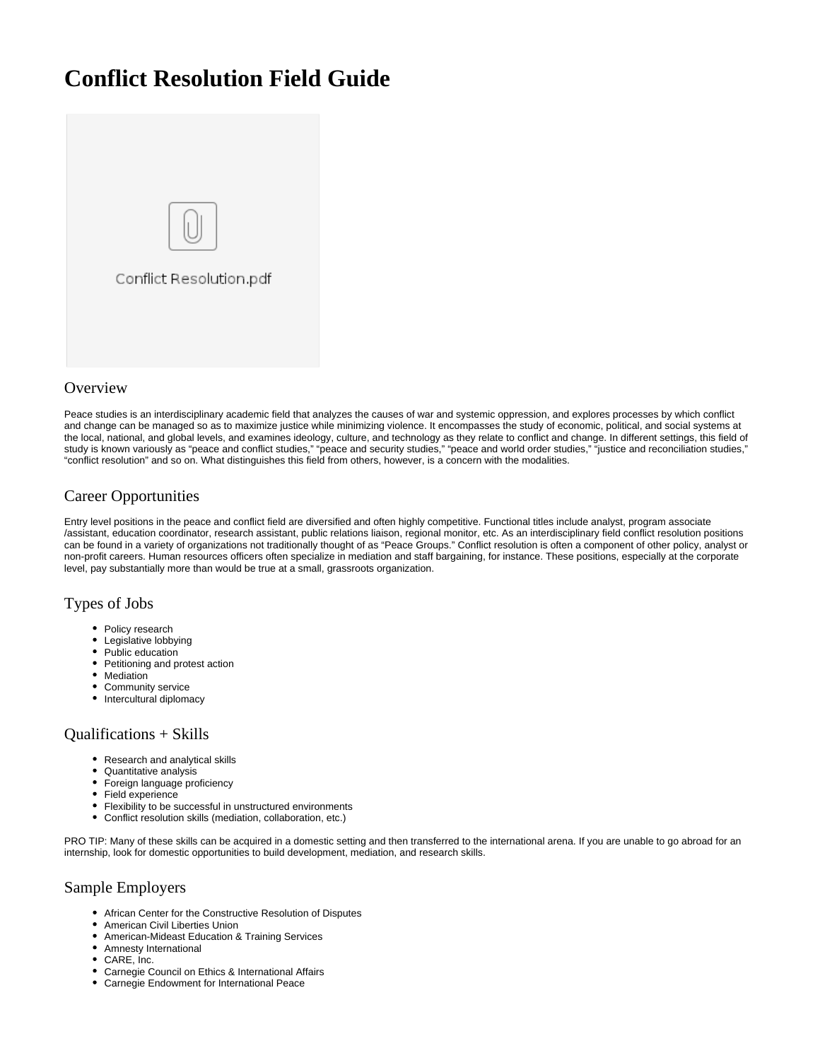# **Conflict Resolution Field Guide**



## **Overview**

Peace studies is an interdisciplinary academic field that analyzes the causes of war and systemic oppression, and explores processes by which conflict and change can be managed so as to maximize justice while minimizing violence. It encompasses the study of economic, political, and social systems at the local, national, and global levels, and examines ideology, culture, and technology as they relate to conflict and change. In different settings, this field of study is known variously as "peace and conflict studies," "peace and security studies," "peace and world order studies," "justice and reconciliation studies," "conflict resolution" and so on. What distinguishes this field from others, however, is a concern with the modalities.

## Career Opportunities

Entry level positions in the peace and conflict field are diversified and often highly competitive. Functional titles include analyst, program associate /assistant, education coordinator, research assistant, public relations liaison, regional monitor, etc. As an interdisciplinary field conflict resolution positions can be found in a variety of organizations not traditionally thought of as "Peace Groups." Conflict resolution is often a component of other policy, analyst or non-profit careers. Human resources officers often specialize in mediation and staff bargaining, for instance. These positions, especially at the corporate level, pay substantially more than would be true at a small, grassroots organization.

## Types of Jobs

- Policy research
- Legislative lobbying
- Public education
- Petitioning and protest action
- Mediation
- Community service
- Intercultural diplomacy

### Qualifications + Skills

- Research and analytical skills
- Quantitative analysis
- $\bullet$ Foreign language proficiency
- Field experience
- Flexibility to be successful in unstructured environments
- Conflict resolution skills (mediation, collaboration, etc.)

PRO TIP: Many of these skills can be acquired in a domestic setting and then transferred to the international arena. If you are unable to go abroad for an internship, look for domestic opportunities to build development, mediation, and research skills.

## Sample Employers

- African Center for the Constructive Resolution of Disputes
- $\bullet$ American Civil Liberties Union
- American-Mideast Education & Training Services
- Amnesty International
- CARE, Inc.
- Carnegie Council on Ethics & International Affairs
- Carnegie Endowment for International Peace